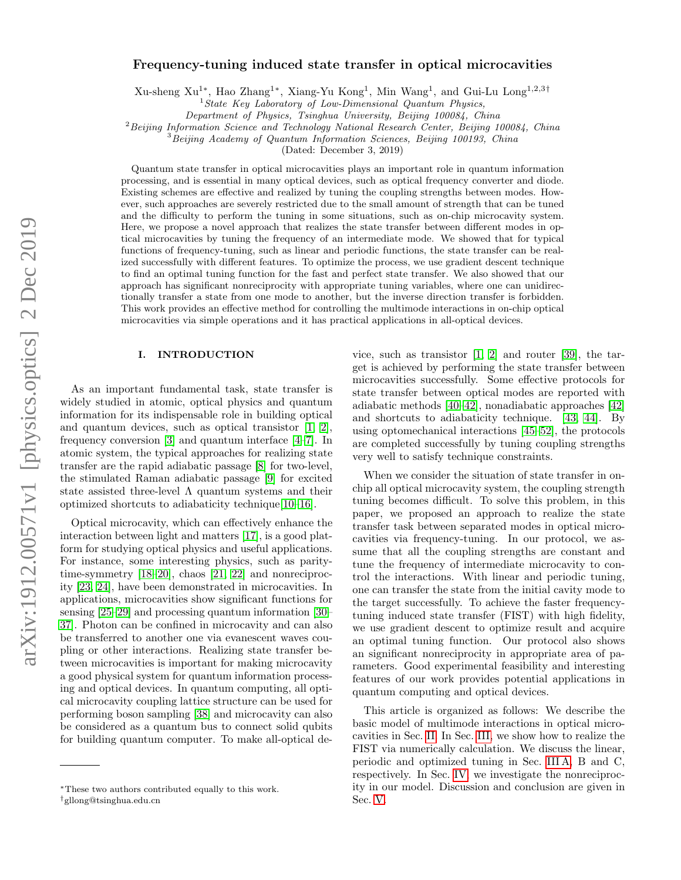# arXiv:1912.00571v1 [physics.optics] 2 Dec 2019 arXiv:1912.00571v1 [physics.optics] 2 Dec 2019

# Frequency-tuning induced state transfer in optical microcavities

Xu-sheng Xu<sup>1∗</sup>, Hao Zhang<sup>1∗</sup>, Xiang-Yu Kong<sup>1</sup>, Min Wang<sup>1</sup>, and Gui-Lu Long<sup>1,2,3†</sup>

 $1$ State Key Laboratory of Low-Dimensional Quantum Physics,

Department of Physics, Tsinghua University, Beijing 100084, China

<sup>2</sup> Beijing Information Science and Technology National Research Center, Beijing 100084, China

<sup>3</sup> Beijing Academy of Quantum Information Sciences, Beijing 100193, China

(Dated: December 3, 2019)

Quantum state transfer in optical microcavities plays an important role in quantum information processing, and is essential in many optical devices, such as optical frequency converter and diode. Existing schemes are effective and realized by tuning the coupling strengths between modes. However, such approaches are severely restricted due to the small amount of strength that can be tuned and the difficulty to perform the tuning in some situations, such as on-chip microcavity system. Here, we propose a novel approach that realizes the state transfer between different modes in optical microcavities by tuning the frequency of an intermediate mode. We showed that for typical functions of frequency-tuning, such as linear and periodic functions, the state transfer can be realized successfully with different features. To optimize the process, we use gradient descent technique to find an optimal tuning function for the fast and perfect state transfer. We also showed that our approach has significant nonreciprocity with appropriate tuning variables, where one can unidirectionally transfer a state from one mode to another, but the inverse direction transfer is forbidden. This work provides an effective method for controlling the multimode interactions in on-chip optical microcavities via simple operations and it has practical applications in all-optical devices.

### I. INTRODUCTION

As an important fundamental task, state transfer is widely studied in atomic, optical physics and quantum information for its indispensable role in building optical and quantum devices, such as optical transistor [\[1,](#page-5-0) [2\]](#page-5-1), frequency conversion [\[3\]](#page-5-2) and quantum interface [\[4–](#page-5-3)[7\]](#page-5-4). In atomic system, the typical approaches for realizing state transfer are the rapid adiabatic passage [\[8\]](#page-5-5) for two-level, the stimulated Raman adiabatic passage [\[9\]](#page-5-6) for excited state assisted three-level  $\Lambda$  quantum systems and their optimized shortcuts to adiabaticity technique[\[10](#page-5-7)[–16\]](#page-5-8).

Optical microcavity, which can effectively enhance the interaction between light and matters [\[17\]](#page-5-9), is a good platform for studying optical physics and useful applications. For instance, some interesting physics, such as paritytime-symmetry [\[18–](#page-5-10)[20\]](#page-5-11), chaos [\[21,](#page-5-12) [22\]](#page-5-13) and nonreciprocity [\[23,](#page-5-14) [24\]](#page-5-15), have been demonstrated in microcavities. In applications, microcavities show significant functions for sensing [\[25](#page-5-16)[–29\]](#page-5-17) and processing quantum information [\[30–](#page-5-18) [37\]](#page-6-0). Photon can be confined in microcavity and can also be transferred to another one via evanescent waves coupling or other interactions. Realizing state transfer between microcavities is important for making microcavity a good physical system for quantum information processing and optical devices. In quantum computing, all optical microcavity coupling lattice structure can be used for performing boson sampling [\[38\]](#page-6-1) and microcavity can also be considered as a quantum bus to connect solid qubits for building quantum computer. To make all-optical de-

vice, such as transistor [\[1,](#page-5-0) [2\]](#page-5-1) and router [\[39\]](#page-6-2), the target is achieved by performing the state transfer between microcavities successfully. Some effective protocols for state transfer between optical modes are reported with adiabatic methods [\[40–](#page-6-3)[42\]](#page-6-4), nonadiabatic approaches [\[42\]](#page-6-4) and shortcuts to adiabaticity technique. [\[43,](#page-6-5) [44\]](#page-6-6). By using optomechanical interactions [\[45–](#page-6-7)[52\]](#page-6-8), the protocols are completed successfully by tuning coupling strengths very well to satisfy technique constraints.

When we consider the situation of state transfer in onchip all optical microcavity system, the coupling strength tuning becomes difficult. To solve this problem, in this paper, we proposed an approach to realize the state transfer task between separated modes in optical microcavities via frequency-tuning. In our protocol, we assume that all the coupling strengths are constant and tune the frequency of intermediate microcavity to control the interactions. With linear and periodic tuning, one can transfer the state from the initial cavity mode to the target successfully. To achieve the faster frequencytuning induced state transfer (FIST) with high fidelity, we use gradient descent to optimize result and acquire an optimal tuning function. Our protocol also shows an significant nonreciprocity in appropriate area of parameters. Good experimental feasibility and interesting features of our work provides potential applications in quantum computing and optical devices.

This article is organized as follows: We describe the basic model of multimode interactions in optical microcavities in Sec. [II.](#page-1-0) In Sec. [III,](#page-1-1) we show how to realize the FIST via numerically calculation. We discuss the linear, periodic and optimized tuning in Sec. [III A,](#page-1-2) B and C, respectively. In Sec. [IV,](#page-4-0) we investigate the nonreciprocity in our model. Discussion and conclusion are given in Sec. [V.](#page-4-1)

<sup>∗</sup>These two authors contributed equally to this work.

<sup>†</sup>gllong@tsinghua.edu.cn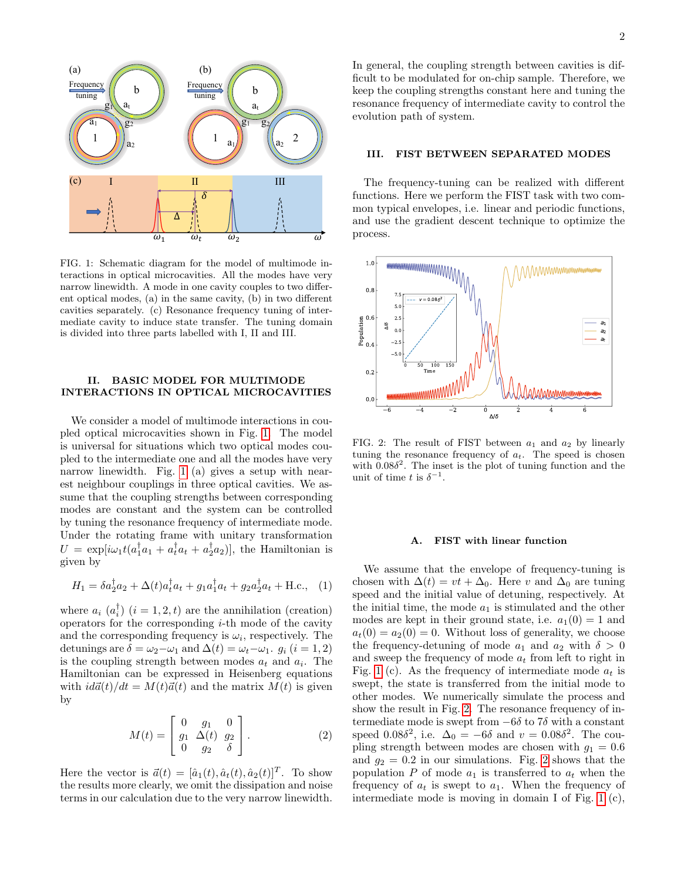

<span id="page-1-3"></span>FIG. 1: Schematic diagram for the model of multimode interactions in optical microcavities. All the modes have very narrow linewidth. A mode in one cavity couples to two different optical modes, (a) in the same cavity, (b) in two different cavities separately. (c) Resonance frequency tuning of intermediate cavity to induce state transfer. The tuning domain is divided into three parts labelled with I, II and III.

### <span id="page-1-0"></span>II. BASIC MODEL FOR MULTIMODE INTERACTIONS IN OPTICAL MICROCAVITIES

We consider a model of multimode interactions in coupled optical microcavities shown in Fig. [1.](#page-1-3) The model is universal for situations which two optical modes coupled to the intermediate one and all the modes have very narrow linewidth. Fig. [1](#page-1-3) (a) gives a setup with nearest neighbour couplings in three optical cavities. We assume that the coupling strengths between corresponding modes are constant and the system can be controlled by tuning the resonance frequency of intermediate mode. Under the rotating frame with unitary transformation  $U = \exp[i\omega_1 t (a_1^{\dagger} a_1 + a_t^{\dagger} a_t + a_2^{\dagger} a_2)],$  the Hamiltonian is given by

$$
H_1 = \delta a_2^{\dagger} a_2 + \Delta(t) a_t^{\dagger} a_t + g_1 a_1^{\dagger} a_t + g_2 a_2^{\dagger} a_t + \text{H.c.}, \quad (1)
$$

where  $a_i$   $(a_i^{\dagger})$   $(i = 1, 2, t)$  are the annihilation (creation) operators for the corresponding  $i$ -th mode of the cavity and the corresponding frequency is  $\omega_i$ , respectively. The detunings are  $\delta = \omega_2 - \omega_1$  and  $\Delta(t) = \omega_t - \omega_1$ .  $g_i$   $(i = 1, 2)$ is the coupling strength between modes  $a_t$  and  $a_i$ . The Hamiltonian can be expressed in Heisenberg equations with  $i d\vec{a}(t)/dt = M(t)\vec{a}(t)$  and the matrix  $M(t)$  is given by

$$
M(t) = \begin{bmatrix} 0 & g_1 & 0 \\ g_1 & \Delta(t) & g_2 \\ 0 & g_2 & \delta \end{bmatrix}.
$$
 (2)

Here the vector is  $\vec{a}(t) = [\hat{a}_1(t), \hat{a}_t(t), \hat{a}_2(t)]^T$ . To show the results more clearly, we omit the dissipation and noise terms in our calculation due to the very narrow linewidth.

In general, the coupling strength between cavities is difficult to be modulated for on-chip sample. Therefore, we keep the coupling strengths constant here and tuning the resonance frequency of intermediate cavity to control the evolution path of system.

### <span id="page-1-1"></span>III. FIST BETWEEN SEPARATED MODES

The frequency-tuning can be realized with different functions. Here we perform the FIST task with two common typical envelopes, i.e. linear and periodic functions, and use the gradient descent technique to optimize the process.



<span id="page-1-4"></span>FIG. 2: The result of FIST between  $a_1$  and  $a_2$  by linearly tuning the resonance frequency of  $a_t$ . The speed is chosen with  $0.08\delta^2$ . The inset is the plot of tuning function and the unit of time t is  $\delta^{-1}$ .

### <span id="page-1-2"></span>A. FIST with linear function

We assume that the envelope of frequency-tuning is chosen with  $\Delta(t) = vt + \Delta_0$ . Here v and  $\Delta_0$  are tuning speed and the initial value of detuning, respectively. At the initial time, the mode  $a_1$  is stimulated and the other modes are kept in their ground state, i.e.  $a_1(0) = 1$  and  $a_t(0) = a_2(0) = 0$ . Without loss of generality, we choose the frequency-detuning of mode  $a_1$  and  $a_2$  with  $\delta > 0$ and sweep the frequency of mode  $\boldsymbol{a}_t$  from left to right in Fig. [1](#page-1-3) (c). As the frequency of intermediate mode  $a_t$  is swept, the state is transferred from the initial mode to other modes. We numerically simulate the process and show the result in Fig. [2.](#page-1-4) The resonance frequency of intermediate mode is swept from  $-6\delta$  to 7 $\delta$  with a constant speed 0.08 $\delta^2$ , i.e.  $\Delta_0 = -6\delta$  and  $v = 0.08\delta^2$ . The coupling strength between modes are chosen with  $g_1 = 0.6$ and  $g_2 = 0.2$  in our simulations. Fig. [2](#page-1-4) shows that the population P of mode  $a_1$  is transferred to  $a_t$  when the frequency of  $a_t$  is swept to  $a_1$ . When the frequency of intermediate mode is moving in domain I of Fig. [1](#page-1-3) (c),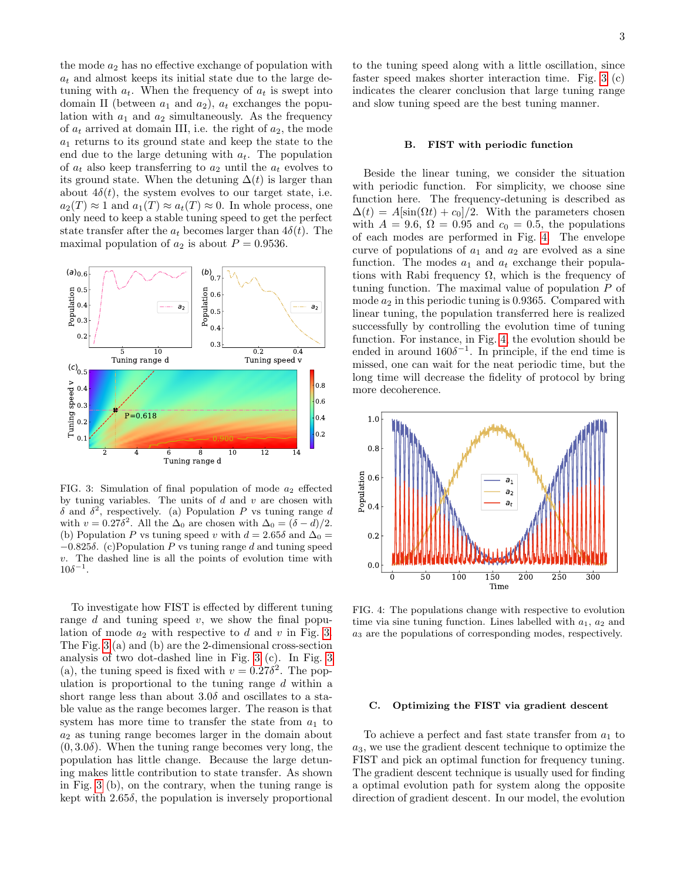the mode  $a_2$  has no effective exchange of population with  $a_t$  and almost keeps its initial state due to the large detuning with  $a_t$ . When the frequency of  $a_t$  is swept into domain II (between  $a_1$  and  $a_2$ ),  $a_t$  exchanges the population with  $a_1$  and  $a_2$  simultaneously. As the frequency of  $a_t$  arrived at domain III, i.e. the right of  $a_2$ , the mode  $a_1$  returns to its ground state and keep the state to the end due to the large detuning with  $a_t$ . The population of  $a_t$  also keep transferring to  $a_2$  until the  $a_t$  evolves to its ground state. When the detuning  $\Delta(t)$  is larger than about  $4\delta(t)$ , the system evolves to our target state, i.e.  $a_2(T) \approx 1$  and  $a_1(T) \approx a_t(T) \approx 0$ . In whole process, one only need to keep a stable tuning speed to get the perfect state transfer after the  $a_t$  becomes larger than  $4\delta(t)$ . The maximal population of  $a_2$  is about  $P = 0.9536$ .



<span id="page-2-0"></span>FIG. 3: Simulation of final population of mode  $a_2$  effected by tuning variables. The units of  $d$  and  $v$  are chosen with δ and  $\delta^2$ , respectively. (a) Population P vs tuning range d with  $v = 0.27\delta^2$ . All the  $\Delta_0$  are chosen with  $\Delta_0 = (\delta - d)/2$ . (b) Population P vs tuning speed v with  $d = 2.65\delta$  and  $\Delta_0 =$  $-0.825\delta$ . (c)Population P vs tuning range d and tuning speed v. The dashed line is all the points of evolution time with  $10\delta^{-1}$ .

To investigate how FIST is effected by different tuning range  $d$  and tuning speed  $v$ , we show the final population of mode  $a_2$  with respective to d and v in Fig. [3.](#page-2-0) The Fig. [3](#page-2-0) (a) and (b) are the 2-dimensional cross-section analysis of two dot-dashed line in Fig. [3](#page-2-0) (c). In Fig. [3](#page-2-0) (a), the tuning speed is fixed with  $v = 0.27\delta^2$ . The population is proportional to the tuning range  $d$  within a short range less than about  $3.0\delta$  and oscillates to a stable value as the range becomes larger. The reason is that system has more time to transfer the state from  $a_1$  to  $a_2$  as tuning range becomes larger in the domain about  $(0, 3.0\delta)$ . When the tuning range becomes very long, the population has little change. Because the large detuning makes little contribution to state transfer. As shown in Fig. [3](#page-2-0) (b), on the contrary, when the tuning range is kept with  $2.65\delta$ , the population is inversely proportional

to the tuning speed along with a little oscillation, since faster speed makes shorter interaction time. Fig. [3](#page-2-0) (c) indicates the clearer conclusion that large tuning range and slow tuning speed are the best tuning manner.

### B. FIST with periodic function

Beside the linear tuning, we consider the situation with periodic function. For simplicity, we choose sine function here. The frequency-detuning is described as  $\Delta(t) = A[\sin(\Omega t) + c_0]/2$ . With the parameters chosen with  $A = 9.6$ ,  $\Omega = 0.95$  and  $c_0 = 0.5$ , the populations of each modes are performed in Fig. [4.](#page-2-1) The envelope curve of populations of  $a_1$  and  $a_2$  are evolved as a sine function. The modes  $a_1$  and  $a_t$  exchange their populations with Rabi frequency  $\Omega$ , which is the frequency of tuning function. The maximal value of population P of mode  $a_2$  in this periodic tuning is 0.9365. Compared with linear tuning, the population transferred here is realized successfully by controlling the evolution time of tuning function. For instance, in Fig. [4,](#page-2-1) the evolution should be ended in around  $160\delta^{-1}$ . In principle, if the end time is missed, one can wait for the neat periodic time, but the long time will decrease the fidelity of protocol by bring more decoherence.



<span id="page-2-1"></span>FIG. 4: The populations change with respective to evolution time via sine tuning function. Lines labelled with  $a_1, a_2$  and a<sup>3</sup> are the populations of corresponding modes, respectively.

### C. Optimizing the FIST via gradient descent

To achieve a perfect and fast state transfer from  $a_1$  to  $a_3$ , we use the gradient descent technique to optimize the FIST and pick an optimal function for frequency tuning. The gradient descent technique is usually used for finding a optimal evolution path for system along the opposite direction of gradient descent. In our model, the evolution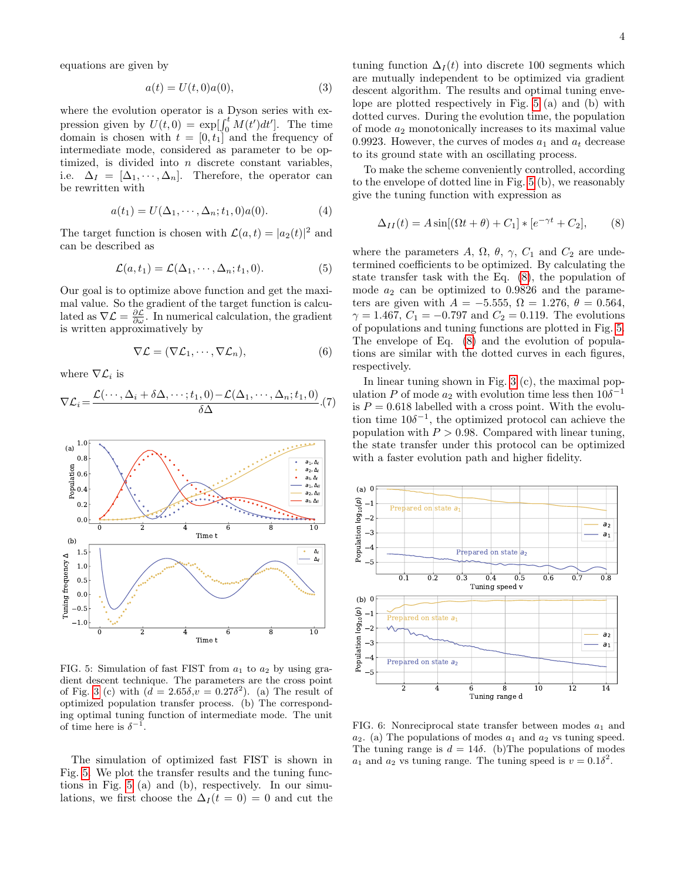equations are given by

$$
a(t) = U(t,0)a(0),
$$
 (3)

where the evolution operator is a Dyson series with expression given by  $U(t, 0) = \exp[\int_0^t M(t')dt']$ . The time domain is chosen with  $t = [0, t_1]$  and the frequency of intermediate mode, considered as parameter to be optimized, is divided into  $n$  discrete constant variables, i.e.  $\Delta_I = [\Delta_1, \cdots, \Delta_n]$ . Therefore, the operator can be rewritten with

$$
a(t_1) = U(\Delta_1, \cdots, \Delta_n; t_1, 0)a(0).
$$
 (4)

The target function is chosen with  $\mathcal{L}(a,t) = |a_2(t)|^2$  and can be described as

$$
\mathcal{L}(a, t_1) = \mathcal{L}(\Delta_1, \cdots, \Delta_n; t_1, 0). \tag{5}
$$

Our goal is to optimize above function and get the maximal value. So the gradient of the target function is calculated as  $\nabla \mathcal{L} = \frac{\partial \mathcal{L}}{\partial \omega}$ . In numerical calculation, the gradient is written approximatively by

$$
\nabla \mathcal{L} = (\nabla \mathcal{L}_1, \cdots, \nabla \mathcal{L}_n),\tag{6}
$$

where  $\nabla \mathcal{L}_i$  is

$$
\nabla \mathcal{L}_i = \frac{\mathcal{L}(\cdots, \Delta_i + \delta \Delta, \cdots; t_1, 0) - \mathcal{L}(\Delta_1, \cdots, \Delta_n; t_1, 0)}{\delta \Delta}.
$$
(7)



<span id="page-3-0"></span>FIG. 5: Simulation of fast FIST from  $a_1$  to  $a_2$  by using gradient descent technique. The parameters are the cross point of Fig. [3](#page-2-0) (c) with  $(d = 2.65\delta, v = 0.27\delta^2)$ . (a) The result of optimized population transfer process. (b) The corresponding optimal tuning function of intermediate mode. The unit of time here is  $\delta^{-1}$ .

The simulation of optimized fast FIST is shown in Fig. [5.](#page-3-0) We plot the transfer results and the tuning functions in Fig. [5](#page-3-0) (a) and (b), respectively. In our simulations, we first choose the  $\Delta_I(t=0) = 0$  and cut the tuning function  $\Delta_I(t)$  into discrete 100 segments which are mutually independent to be optimized via gradient descent algorithm. The results and optimal tuning envelope are plotted respectively in Fig. [5](#page-3-0) (a) and (b) with dotted curves. During the evolution time, the population of mode  $a_2$  monotonically increases to its maximal value 0.9923. However, the curves of modes  $a_1$  and  $a_t$  decrease to its ground state with an oscillating process.

To make the scheme conveniently controlled, according to the envelope of dotted line in Fig. [5](#page-3-0) (b), we reasonably give the tuning function with expression as

<span id="page-3-1"></span>
$$
\Delta_{II}(t) = A \sin[(\Omega t + \theta) + C_1] * [e^{-\gamma t} + C_2], \qquad (8)
$$

where the parameters A,  $\Omega$ ,  $\theta$ ,  $\gamma$ ,  $C_1$  and  $C_2$  are undetermined coefficients to be optimized. By calculating the state transfer task with the Eq. [\(8\)](#page-3-1), the population of mode  $a_2$  can be optimized to 0.9826 and the parameters are given with  $A = -5.555$ ,  $\Omega = 1.276$ ,  $\theta = 0.564$ ,  $\gamma = 1.467, C_1 = -0.797$  and  $C_2 = 0.119$ . The evolutions of populations and tuning functions are plotted in Fig. [5.](#page-3-0) The envelope of Eq. [\(8\)](#page-3-1) and the evolution of populations are similar with the dotted curves in each figures, respectively.

In linear tuning shown in Fig. [3](#page-2-0) (c), the maximal population P of mode  $a_2$  with evolution time less then  $10\delta^{-1}$ is  $P = 0.618$  labelled with a cross point. With the evolution time  $10\delta^{-1}$ , the optimized protocol can achieve the population with  $P > 0.98$ . Compared with linear tuning, the state transfer under this protocol can be optimized with a faster evolution path and higher fidelity.



<span id="page-3-2"></span>FIG. 6: Nonreciprocal state transfer between modes  $a_1$  and  $a_2$ . (a) The populations of modes  $a_1$  and  $a_2$  vs tuning speed. The tuning range is  $d = 14\delta$ . (b) The populations of modes  $a_1$  and  $a_2$  vs tuning range. The tuning speed is  $v = 0.1\delta^2$ .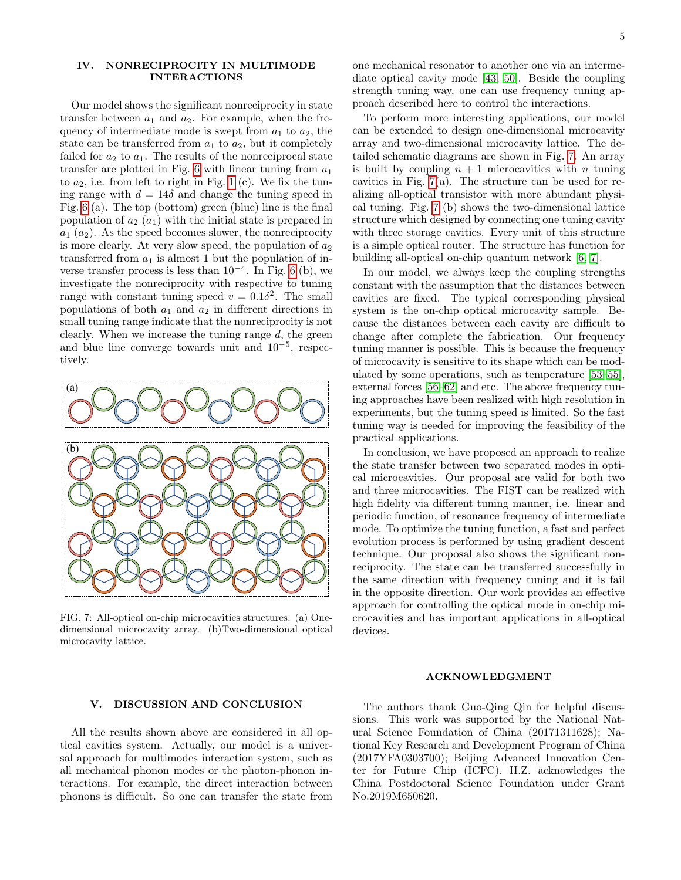## <span id="page-4-0"></span>IV. NONRECIPROCITY IN MULTIMODE INTERACTIONS

Our model shows the significant nonreciprocity in state transfer between  $a_1$  and  $a_2$ . For example, when the frequency of intermediate mode is swept from  $a_1$  to  $a_2$ , the state can be transferred from  $a_1$  to  $a_2$ , but it completely failed for  $a_2$  to  $a_1$ . The results of the nonreciprocal state transfer are plotted in Fig. [6](#page-3-2) with linear tuning from  $a_1$ to  $a_2$ , i.e. from left to right in Fig. [1](#page-1-3) (c). We fix the tuning range with  $d = 14\delta$  and change the tuning speed in Fig. [6](#page-3-2) (a). The top (bottom) green (blue) line is the final population of  $a_2$   $(a_1)$  with the initial state is prepared in  $a_1$   $(a_2)$ . As the speed becomes slower, the nonreciprocity is more clearly. At very slow speed, the population of  $a_2$ transferred from  $a_1$  is almost 1 but the population of inverse transfer process is less than  $10^{-4}$ . In Fig. [6](#page-3-2) (b), we investigate the nonreciprocity with respective to tuning range with constant tuning speed  $v = 0.1\delta^2$ . The small populations of both  $a_1$  and  $a_2$  in different directions in small tuning range indicate that the nonreciprocity is not clearly. When we increase the tuning range  $d$ , the green and blue line converge towards unit and 10<sup>−</sup><sup>5</sup> , respectively.



FIG. 7: All-optical on-chip microcavities structures. (a) Onedimensional microcavity array. (b)Two-dimensional optical microcavity lattice.

one mechanical resonator to another one via an intermediate optical cavity mode [\[43,](#page-6-5) [50\]](#page-6-9). Beside the coupling strength tuning way, one can use frequency tuning approach described here to control the interactions.

To perform more interesting applications, our model can be extended to design one-dimensional microcavity array and two-dimensional microcavity lattice. The detailed schematic diagrams are shown in Fig. [7.](#page-4-2) An array is built by coupling  $n + 1$  microcavities with n tuning cavities in Fig. [7\(](#page-4-2)a). The structure can be used for realizing all-optical transistor with more abundant physical tuning. Fig. [7](#page-4-2) (b) shows the two-dimensional lattice structure which designed by connecting one tuning cavity with three storage cavities. Every unit of this structure is a simple optical router. The structure has function for building all-optical on-chip quantum network [\[6,](#page-5-19) [7\]](#page-5-4).

In our model, we always keep the coupling strengths constant with the assumption that the distances between cavities are fixed. The typical corresponding physical system is the on-chip optical microcavity sample. Because the distances between each cavity are difficult to change after complete the fabrication. Our frequency tuning manner is possible. This is because the frequency of microcavity is sensitive to its shape which can be modulated by some operations, such as temperature [\[53–](#page-6-10)[55\]](#page-6-11), external forces [\[56](#page-6-12)[–62\]](#page-6-13) and etc. The above frequency tuning approaches have been realized with high resolution in experiments, but the tuning speed is limited. So the fast tuning way is needed for improving the feasibility of the practical applications.

In conclusion, we have proposed an approach to realize the state transfer between two separated modes in optical microcavities. Our proposal are valid for both two and three microcavities. The FIST can be realized with high fidelity via different tuning manner, i.e. linear and periodic function, of resonance frequency of intermediate mode. To optimize the tuning function, a fast and perfect evolution process is performed by using gradient descent technique. Our proposal also shows the significant nonreciprocity. The state can be transferred successfully in the same direction with frequency tuning and it is fail in the opposite direction. Our work provides an effective approach for controlling the optical mode in on-chip microcavities and has important applications in all-optical devices.

### ACKNOWLEDGMENT

# <span id="page-4-2"></span><span id="page-4-1"></span>V. DISCUSSION AND CONCLUSION

All the results shown above are considered in all optical cavities system. Actually, our model is a universal approach for multimodes interaction system, such as all mechanical phonon modes or the photon-phonon interactions. For example, the direct interaction between phonons is difficult. So one can transfer the state from

The authors thank Guo-Qing Qin for helpful discussions. This work was supported by the National Natural Science Foundation of China (20171311628); National Key Research and Development Program of China (2017YFA0303700); Beijing Advanced Innovation Center for Future Chip (ICFC). H.Z. acknowledges the China Postdoctoral Science Foundation under Grant No.2019M650620.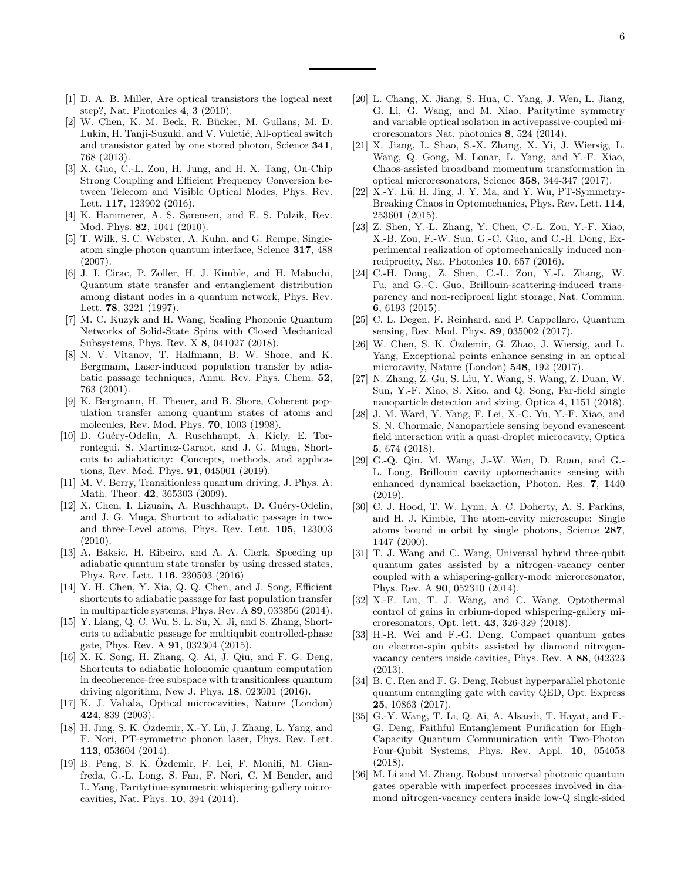- <span id="page-5-0"></span>[1] D. A. B. Miller, Are optical transistors the logical next step?, Nat. Photonics 4, 3 (2010).
- <span id="page-5-1"></span>[2] W. Chen, K. M. Beck, R. Bücker, M. Gullans, M. D. Lukin, H. Tanji-Suzuki, and V. Vuletić, All-optical switch and transistor gated by one stored photon, Science 341, 768 (2013).
- <span id="page-5-2"></span>[3] X. Guo, C.-L. Zou, H. Jung, and H. X. Tang, On-Chip Strong Coupling and Efficient Frequency Conversion between Telecom and Visible Optical Modes, Phys. Rev. Lett. 117, 123902 (2016).
- <span id="page-5-3"></span>[4] K. Hammerer, A. S. Sørensen, and E. S. Polzik, Rev. Mod. Phys. 82, 1041 (2010).
- [5] T. Wilk, S. C. Webster, A. Kuhn, and G. Rempe, Singleatom single-photon quantum interface, Science 317, 488 (2007).
- <span id="page-5-19"></span>[6] J. I. Cirac, P. Zoller, H. J. Kimble, and H. Mabuchi, Quantum state transfer and entanglement distribution among distant nodes in a quantum network, Phys. Rev. Lett. 78, 3221 (1997).
- <span id="page-5-4"></span>[7] M. C. Kuzyk and H. Wang, Scaling Phononic Quantum Networks of Solid-State Spins with Closed Mechanical Subsystems, Phys. Rev. X 8, 041027 (2018).
- <span id="page-5-5"></span>[8] N. V. Vitanov, T. Halfmann, B. W. Shore, and K. Bergmann, Laser-induced population transfer by adiabatic passage techniques, Annu. Rev. Phys. Chem. 52, 763 (2001).
- <span id="page-5-6"></span>[9] K. Bergmann, H. Theuer, and B. Shore, Coherent population transfer among quantum states of atoms and molecules, Rev. Mod. Phys. 70, 1003 (1998).
- <span id="page-5-7"></span>[10] D. Gu´ery-Odelin, A. Ruschhaupt, A. Kiely, E. Torrontegui, S. Martinez-Garaot, and J. G. Muga, Shortcuts to adiabaticity: Concepts, methods, and applications, Rev. Mod. Phys. 91, 045001 (2019).
- [11] M. V. Berry, Transitionless quantum driving, J. Phys. A: Math. Theor. 42, 365303 (2009).
- [12] X. Chen, I. Lizuain, A. Ruschhaupt, D. Guéry-Odelin, and J. G. Muga, Shortcut to adiabatic passage in twoand three-Level atoms, Phys. Rev. Lett. 105, 123003 (2010).
- [13] A. Baksic, H. Ribeiro, and A. A. Clerk, Speeding up adiabatic quantum state transfer by using dressed states, Phys. Rev. Lett. 116, 230503 (2016)
- [14] Y. H. Chen, Y. Xia, Q. Q. Chen, and J. Song, Efficient shortcuts to adiabatic passage for fast population transfer in multiparticle systems, Phys. Rev. A 89, 033856 (2014).
- [15] Y. Liang, Q. C. Wu, S. L. Su, X. Ji, and S. Zhang, Shortcuts to adiabatic passage for multiqubit controlled-phase gate, Phys. Rev. A 91, 032304 (2015).
- <span id="page-5-8"></span>[16] X. K. Song, H. Zhang, Q. Ai, J. Qiu, and F. G. Deng, Shortcuts to adiabatic holonomic quantum computation in decoherence-free subspace with transitionless quantum driving algorithm, New J. Phys. 18, 023001 (2016).
- <span id="page-5-9"></span>[17] K. J. Vahala, Optical microcavities, Nature (London) 424, 839 (2003).
- <span id="page-5-10"></span> $[18]$  H. Jing, S. K. Özdemir, X.-Y. Lü, J. Zhang, L. Yang, and F. Nori, PT-symmetric phonon laser, Phys. Rev. Lett. 113, 053604 (2014).
- [19] B. Peng, S. K. Özdemir, F. Lei, F. Monifi, M. Gianfreda, G.-L. Long, S. Fan, F. Nori, C. M Bender, and L. Yang, Paritytime-symmetric whispering-gallery microcavities, Nat. Phys. 10, 394 (2014).
- <span id="page-5-11"></span>[20] L. Chang, X. Jiang, S. Hua, C. Yang, J. Wen, L. Jiang, G. Li, G. Wang, and M. Xiao, Paritytime symmetry and variable optical isolation in activepassive-coupled microresonators Nat. photonics 8, 524 (2014).
- <span id="page-5-12"></span>[21] X. Jiang, L. Shao, S.-X. Zhang, X. Yi, J. Wiersig, L. Wang, Q. Gong, M. Lonar, L. Yang, and Y.-F. Xiao, Chaos-assisted broadband momentum transformation in optical microresonators, Science 358, 344-347 (2017).
- <span id="page-5-13"></span>[22] X.-Y. Lü, H. Jing, J. Y. Ma, and Y. Wu, PT-Symmetry-Breaking Chaos in Optomechanics, Phys. Rev. Lett. 114, 253601 (2015).
- <span id="page-5-14"></span>[23] Z. Shen, Y.-L. Zhang, Y. Chen, C.-L. Zou, Y.-F. Xiao, X.-B. Zou, F.-W. Sun, G.-C. Guo, and C.-H. Dong, Experimental realization of optomechanically induced nonreciprocity, Nat. Photonics 10, 657 (2016).
- <span id="page-5-15"></span>[24] C.-H. Dong, Z. Shen, C.-L. Zou, Y.-L. Zhang, W. Fu, and G.-C. Guo, Brillouin-scattering-induced transparency and non-reciprocal light storage, Nat. Commun. 6, 6193 (2015).
- <span id="page-5-16"></span>[25] C. L. Degen, F. Reinhard, and P. Cappellaro, Quantum sensing, Rev. Mod. Phys. 89, 035002 (2017).
- $[26]$  W. Chen, S. K. Özdemir, G. Zhao, J. Wiersig, and L. Yang, Exceptional points enhance sensing in an optical microcavity, Nature (London) 548, 192 (2017).
- [27] N. Zhang, Z. Gu, S. Liu, Y. Wang, S. Wang, Z. Duan, W. Sun, Y.-F. Xiao, S. Xiao, and Q. Song, Far-field single nanoparticle detection and sizing, Optica 4, 1151 (2018).
- [28] J. M. Ward, Y. Yang, F. Lei, X.-C. Yu, Y.-F. Xiao, and S. N. Chormaic, Nanoparticle sensing beyond evanescent field interaction with a quasi-droplet microcavity, Optica 5, 674 (2018).
- <span id="page-5-17"></span>[29] G.-Q. Qin, M. Wang, J.-W. Wen, D. Ruan, and G.- L. Long, Brillouin cavity optomechanics sensing with enhanced dynamical backaction, Photon. Res. 7, 1440 (2019).
- <span id="page-5-18"></span>[30] C. J. Hood, T. W. Lynn, A. C. Doherty, A. S. Parkins, and H. J. Kimble, The atom-cavity microscope: Single atoms bound in orbit by single photons, Science 287, 1447 (2000).
- [31] T. J. Wang and C. Wang, Universal hybrid three-qubit quantum gates assisted by a nitrogen-vacancy center coupled with a whispering-gallery-mode microresonator, Phys. Rev. A 90, 052310 (2014).
- [32] X.-F. Liu, T. J. Wang, and C. Wang, Optothermal control of gains in erbium-doped whispering-gallery microresonators, Opt. lett. 43, 326-329 (2018).
- [33] H.-R. Wei and F.-G. Deng, Compact quantum gates on electron-spin qubits assisted by diamond nitrogenvacancy centers inside cavities, Phys. Rev. A 88, 042323 (2013).
- [34] B. C. Ren and F. G. Deng, Robust hyperparallel photonic quantum entangling gate with cavity QED, Opt. Express 25, 10863 (2017).
- [35] G.-Y. Wang, T. Li, Q. Ai, A. Alsaedi, T. Hayat, and F.- G. Deng, Faithful Entanglement Purification for High-Capacity Quantum Communication with Two-Photon Four-Qubit Systems, Phys. Rev. Appl. 10, 054058 (2018).
- [36] M. Li and M. Zhang, Robust universal photonic quantum gates operable with imperfect processes involved in diamond nitrogen-vacancy centers inside low-Q single-sided